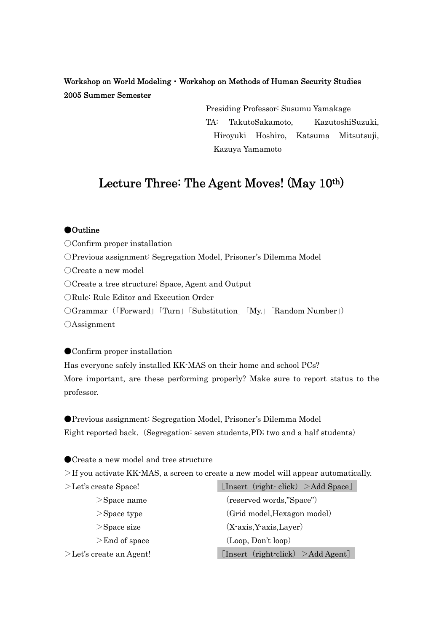# Workshop on World Modeling・Workshop on Methods of Human Security Studies 2005 Summer Semester

Presiding Professor: Susumu Yamakage TA: TakutoSakamoto, KazutoshiSuzuki, Hiroyuki Hoshiro, Katsuma Mitsutsuji, Kazuya Yamamoto

# Lecture Three: The Agent Moves! (May 10th)

#### ●Outline

○Confirm proper installation

○Previous assignment: Segregation Model, Prisoner's Dilemma Model

○Create a new model

○Create a tree structure; Space, Agent and Output

○Rule: Rule Editor and Execution Order

○Grammar(「Forward」「Turn」「Substitution」「My.」「Random Number」)

○Assignment

#### ● Confirm proper installation

Has everyone safely installed KK-MAS on their home and school PCs? More important, are these performing properly? Make sure to report status to the professor.

●Previous assignment: Segregation Model, Prisoner's Dilemma Model Eight reported back. (Segregation: seven students,PD; two and a half students)

● Create a new model and tree structure

>If you activate KK-MAS, a screen to create a new model will appear automatically.

| $>$ Let's create Space!    | [Insert (right click) $>$ Add Space]         |
|----------------------------|----------------------------------------------|
| $>$ Space name             | (reserved words,"Space")                     |
| $>$ Space type             | (Grid model, Hexagon model)                  |
| $>$ Space size             | $(X-axis, Y-axis, Layer)$                    |
| $>End$ of space            | (Loop, Don't loop)                           |
| $>$ Let's create an Agent! | [Insert $(\text{right-click}) > Add Agent$ ] |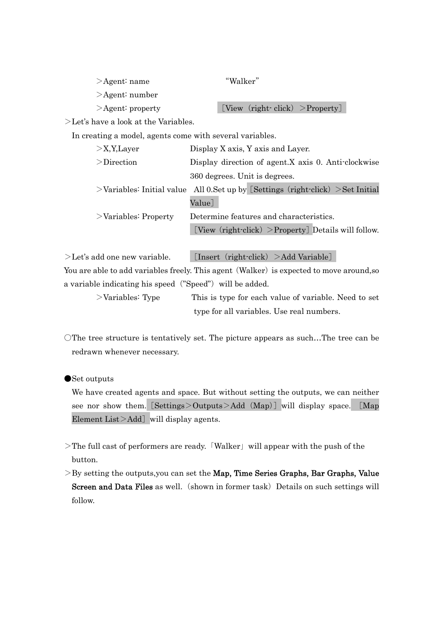| $\geq$ Agent: name     | "Walker"                        |
|------------------------|---------------------------------|
| $\geq$ Agent: number   |                                 |
| $\geq$ Agent: property | [View (right click) > Property] |
|                        |                                 |

>Let's have a look at the Variables.

In creating a model, agents come with several variables.

| $>$ X,Y,Layer           | Display X axis, Y axis and Layer.                                                    |
|-------------------------|--------------------------------------------------------------------------------------|
| $\geq$ Direction        | Display direction of agent.X axis 0. Anti-clockwise                                  |
|                         | 360 degrees. Unit is degrees.                                                        |
|                         | $>$ Variables: Initial value All 0.Set up by [Settings (right-click) $>$ Set Initial |
|                         | Value]                                                                               |
| $>$ Variables: Property | Determine features and characteristics.                                              |
|                         | [View $(\text{right-click}) >$ Property] Details will follow.                        |
|                         |                                                                                      |

 $\geq$ Let's add one new variable. [Insert (right-click)  $\geq$ Add Variable] You are able to add variables freely. This agent (Walker) is expected to move around,so a variable indicating his speed ("Speed") will be added.

>Variables: Type This is type for each value of variable. Need to set type for all variables. Use real numbers.

○The tree structure is tentatively set. The picture appears as such…The tree can be redrawn whenever necessary.

●Set outputs

We have created agents and space. But without setting the outputs, we can neither see nor show them. [Settings>Outputs>Add (Map)] will display space. [Map Element  $List > Add$ ] will display agents.

- >The full cast of performers are ready.「Walker」will appear with the push of the button.
- $>$ By setting the outputs, you can set the Map, Time Series Graphs, Bar Graphs, Value Screen and Data Files as well. (shown in former task) Details on such settings will follow.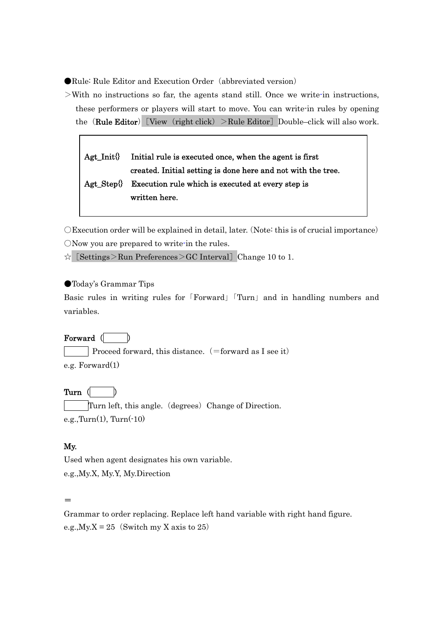●Rule: Rule Editor and Execution Order (abbreviated version)

 $>$ With no instructions so far, the agents stand still. Once we write-in instructions, these performers or players will start to move. You can write-in rules by opening the (Rule Editor) [View (right click) >Rule Editor] Double–click will also work.

# Agt\_Init{} Initial rule is executed once, when the agent is first created. Initial setting is done here and not with the tree. Agt\_Step{} Execution rule which is executed at every step is written here.

○Execution order will be explained in detail, later.(Note: this is of crucial importance) ○Now you are prepared to write-in the rules.

 $\hat{\varphi}$  [Settings>Run Preferences>GC Interval] Change 10 to 1.

## ●Today's Grammar Tips

Basic rules in writing rules for「Forward」「Turn」and in handling numbers and variables.

# Forward (

Proceed forward, this distance.  $(=$  forward as I see it) e.g. Forward(1)

## Turn (

Turn left, this angle. (degrees) Change of Direction.  $e.g., Turn(1), Turn(-10)$ 

## My.

Used when agent designates his own variable. e.g.,My.X, My.Y, My.Direction

#### =

Grammar to order replacing. Replace left hand variable with right hand figure. e.g.,  $My.X = 25$  (Switch my X axis to 25)